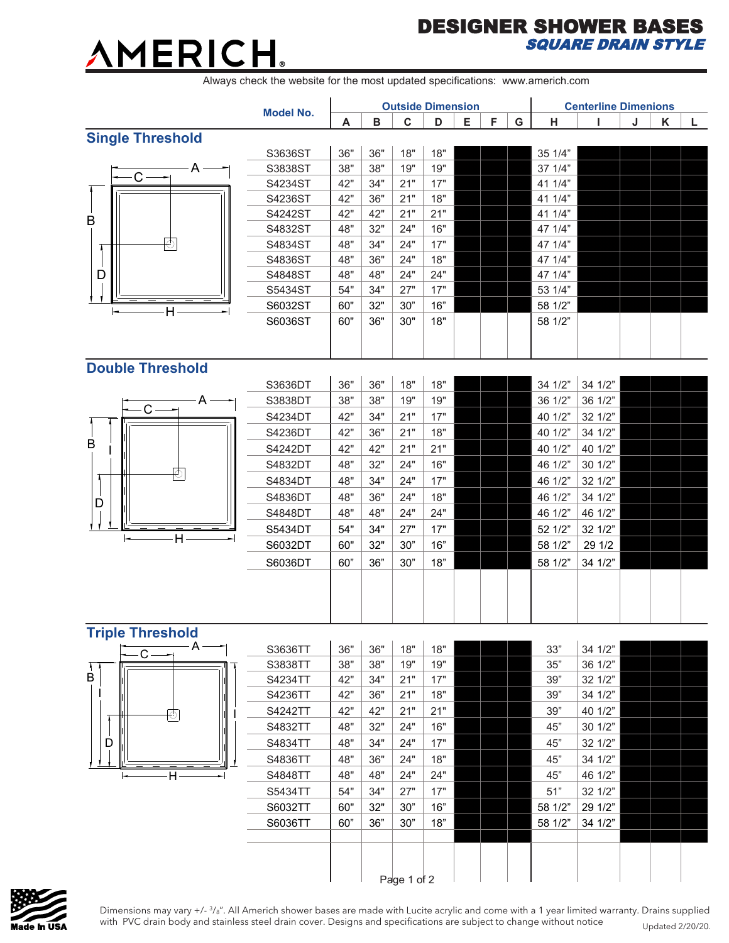## AMERICH.

## DESIGNER SHOWER BASES SQUARE DRAIN STYLE

Always check the website for the most updated specifications: www.americh.com

|                              | <b>Model No.</b>   | <b>Outside Dimension</b> |            |             |            |   |   |   | <b>Centerline Dimenions</b> |                    |   |   |   |
|------------------------------|--------------------|--------------------------|------------|-------------|------------|---|---|---|-----------------------------|--------------------|---|---|---|
|                              |                    | A                        | B          | $\mathbf c$ | D          | Е | F | G | н                           | п                  | J | K | L |
| <b>Single Threshold</b>      |                    |                          |            |             |            |   |   |   |                             |                    |   |   |   |
| A<br>$C -$<br>B<br>-9        | S3636ST            | 36"                      | 36"        | 18"         | 18"        |   |   |   | 35 1/4"                     |                    |   |   |   |
|                              | S3838ST            | 38"                      | 38"        | 19"         | 19"        |   |   |   | 37 1/4"                     |                    |   |   |   |
|                              | S4234ST            | 42"                      | 34"        | 21"         | 17"        |   |   |   | 41 1/4"                     |                    |   |   |   |
|                              | S4236ST            | 42"                      | 36"        | 21"         | 18"        |   |   |   | 41 1/4"                     |                    |   |   |   |
|                              | S4242ST            | 42"                      | 42"        | 21"         | 21"        |   |   |   | 41 1/4"                     |                    |   |   |   |
|                              | S4832ST            | 48"                      | 32"        | 24"         | 16"        |   |   |   | 47 1/4"                     |                    |   |   |   |
|                              | S4834ST            | 48"                      | 34"        | 24"         | 17"        |   |   |   | 47 1/4"                     |                    |   |   |   |
|                              | S4836ST            | 48"                      | 36"        | 24"         | 18"        |   |   |   | 47 1/4"                     |                    |   |   |   |
| D                            | S4848ST            | 48"                      | 48"        | 24"         | 24"        |   |   |   | 47 1/4"                     |                    |   |   |   |
|                              | S5434ST            | 54"                      | 34"        | 27"         | 17"        |   |   |   | 53 1/4"                     |                    |   |   |   |
| H                            | S6032ST            | 60"                      | 32"        | 30"         | 16"        |   |   |   | 58 1/2"                     |                    |   |   |   |
|                              | S6036ST            | 60"                      | 36"        | 30"         | 18"        |   |   |   | 58 1/2"                     |                    |   |   |   |
|                              |                    |                          |            |             |            |   |   |   |                             |                    |   |   |   |
|                              |                    |                          |            |             |            |   |   |   |                             |                    |   |   |   |
| <b>Double Threshold</b>      |                    |                          |            |             |            |   |   |   |                             |                    |   |   |   |
|                              | S3636DT            | 36"                      | 36"        | 18"         | 18"        |   |   |   | 34 1/2"                     | 34 1/2"            |   |   |   |
| A<br>$\mathsf{C}$<br>B<br>रू | S3838DT            | 38"                      | 38"        | 19"         | 19"        |   |   |   | 36 1/2"                     | 36 1/2"            |   |   |   |
|                              | S4234DT            | 42"                      | 34"        | 21"         | 17"        |   |   |   | 40 1/2"                     | 32 1/2"            |   |   |   |
|                              | S4236DT            | 42"                      | 36"        | 21"         | 18"        |   |   |   | 40 1/2"                     | 34 1/2"            |   |   |   |
|                              | S4242DT            | 42"                      | 42"        | 21"         | 21"        |   |   |   | 40 1/2"                     | 40 1/2"            |   |   |   |
|                              | S4832DT            | 48"                      | 32"        | 24"         | 16"        |   |   |   | 46 1/2"                     | 30 1/2"            |   |   |   |
|                              | S4834DT            | 48"                      | 34"        | 24"         | 17"        |   |   |   | 46 1/2"                     | 32 1/2"            |   |   |   |
| D                            | S4836DT            | 48"                      | 36"        | 24"         | 18"        |   |   |   | 46 1/2"                     | 34 1/2"            |   |   |   |
|                              | S4848DT            | 48"                      | 48"        | 24"         | 24"        |   |   |   | 46 1/2"                     | 46 1/2"            |   |   |   |
|                              | S5434DT            | 54"                      | 34"        | 27"         | 17"        |   |   |   | 52 1/2"                     | 32 1/2"            |   |   |   |
| H.                           | S6032DT            | 60"                      | 32"        | 30"         | 16"        |   |   |   | 58 1/2"                     | 29 1/2             |   |   |   |
|                              | S6036DT            | 60"                      | 36"        | 30"         | 18"        |   |   |   | 58 1/2"                     | 34 1/2"            |   |   |   |
|                              |                    |                          |            |             |            |   |   |   |                             |                    |   |   |   |
|                              |                    |                          |            |             |            |   |   |   |                             |                    |   |   |   |
|                              |                    |                          |            |             |            |   |   |   |                             |                    |   |   |   |
|                              |                    |                          |            |             |            |   |   |   |                             |                    |   |   |   |
| Triple Threshold<br>- A      |                    |                          |            |             |            |   |   |   |                             |                    |   |   |   |
| $C -$                        | S3636TT            | 36"<br>38"               | 36"<br>38" | 18"<br>19"  | 18"<br>19" |   |   |   | 33"<br>35"                  | 34 1/2"<br>36 1/2" |   |   |   |
| В                            | S3838TT            | 42"                      | 34"        | 21"         | 17"        |   |   |   | 39"                         |                    |   |   |   |
|                              | S4234TT<br>S4236TT | 42"                      | 36"        | 21"         | 18"        |   |   |   | 39"                         | 32 1/2"<br>34 1/2" |   |   |   |
|                              | S4242TT            | 42"                      | 42"        | 21"         | 21"        |   |   |   | 39"                         | 40 1/2"            |   |   |   |
| 五                            | S4832TT            | 48"                      | 32"        | 24"         | 16"        |   |   |   |                             |                    |   |   |   |
|                              |                    |                          |            |             |            |   |   |   | 45"                         | 30 1/2"            |   |   |   |
| D                            | S4834TT            | 48"                      | 34"        | 24"         | 17"        |   |   |   | 45"                         | 32 1/2"            |   |   |   |
|                              | S4836TT            | 48"                      | 36"        | 24"         | 18"        |   |   |   | 45"                         | 34 1/2"            |   |   |   |
| $\cdot$ H $\cdot$            | S4848TT            | 48"                      | 48"        | 24"         | 24"        |   |   |   | 45"                         | 46 1/2"            |   |   |   |
|                              | S5434TT            | 54"                      | 34"        | 27"         | 17"        |   |   |   | 51"                         | 32 1/2"            |   |   |   |
|                              | S6032TT            | 60"                      | 32"        | 30"         | 16"        |   |   |   | 58 1/2"                     | 29 1/2"            |   |   |   |
|                              | S6036TT            | 60"                      | 36"        | $30"$       | 18"        |   |   |   | 58 1/2"                     | 34 1/2"            |   |   |   |
|                              |                    |                          |            |             |            |   |   |   |                             |                    |   |   |   |
|                              |                    |                          |            |             |            |   |   |   |                             |                    |   |   |   |
|                              |                    |                          |            | Page 1 of 2 |            |   |   |   |                             |                    |   |   |   |
|                              |                    |                          |            |             |            |   |   |   |                             |                    |   |   |   |